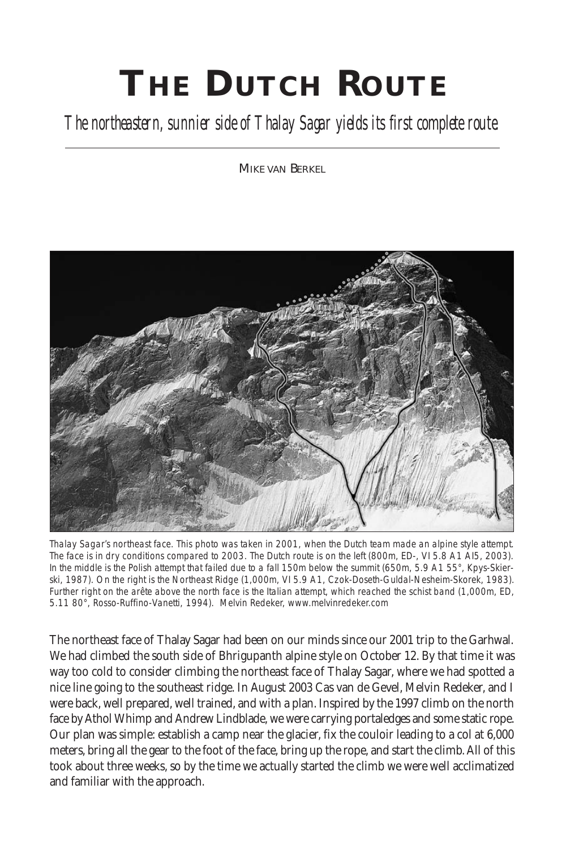## **TH E DUTCH ROUTE**

## *The northeastern, sunnier side of Thalay Sagar yields its first complete route.*

MIKE VAN BERKEL



Thalay Sagar's northeast face. This photo was taken in 2001, when the Dutch team made an alpine style attempt. The face is in dry conditions compared to 2003. The Dutch route is on the left (800m, ED-, VI 5.8 A1 AI5, 2003). In the middle is the Polish attempt that failed due to a fall 150m below the summit (650m, 5.9 A1 55°, Kpys-Skierski, 1987). On the right is the Northeast Ridge (1,000m, VI 5.9 A1, Czok-Doseth-Guldal-Nesheim-Skorek, 1983). Further right on the arête above the north face is the Italian attempt, which reached the schist band (1,000m, ED, 5.11 80°, Rosso-Ruffino-Vanetti, 1994). *Melvin Redeker, www.melvinredeker.com*

The northeast face of Thalay Sagar had been on our minds since our 2001 trip to the Garhwal. We had climbed the south side of Bhrigupanth alpine style on October 12. By that time it was way too cold to consider climbing the northeast face of Thalay Sagar, where we had spotted a nice line going to the southeast ridge. In August 2003 Cas van de Gevel, Melvin Redeker, and I were back, well prepared, well trained, and with a plan. Inspired by the 1997 climb on the north face by Athol Whimp and Andrew Lindblade, we were carrying portaledges and some static rope. Our plan was simple: establish a camp near the glacier, fix the couloir leading to a col at 6,000 meters, bring all the gear to the foot of the face, bring up the rope, and start the climb. All of this took about three weeks, so by the time we actually started the climb we were well acclimatized and familiar with the approach.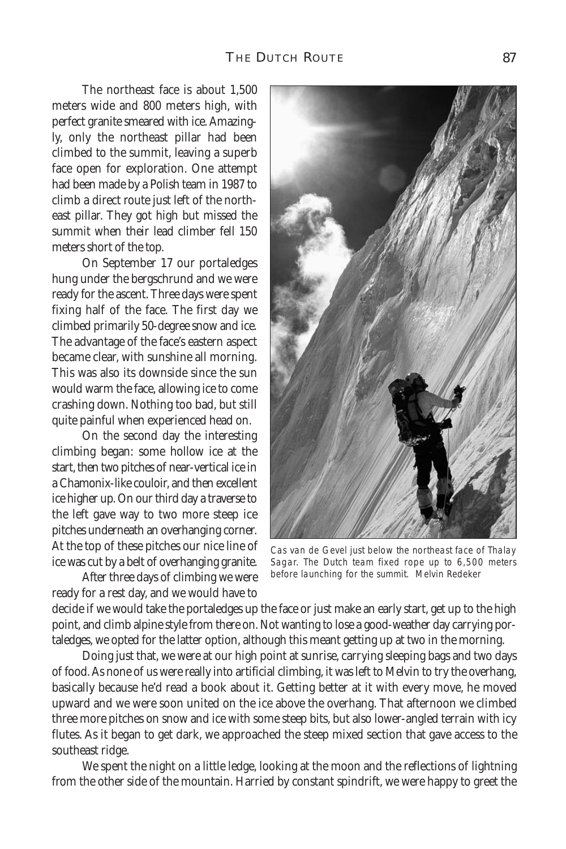The northeast face is about 1,500 meters wide and 800 meters high, with perfect granite smeared with ice. Amazingly, only the northeast pillar had been climbed to the summit, leaving a superb face open for exploration. One attempt had been made by a Polish team in 1987 to climb a direct route just left of the northeast pillar. They got high but missed the summit when their lead climber fell 150 meters short of the top.

On September 17 our portaledges hung under the bergschrund and we were ready for the ascent. Three days were spent fixing half of the face. The first day we climbed primarily 50-degree snow and ice. The advantage of the face's eastern aspect became clear, with sunshine all morning. This was also its downside since the sun would warm the face, allowing ice to come crashing down. Nothing too bad, but still quite painful when experienced head on.

On the second day the interesting climbing began: some hollow ice at the start, then two pitches of near-vertical ice in a Chamonix-like couloir, and then excellent ice higher up. On our third day a traverse to the left gave way to two more steep ice pitches underneath an overhanging corner. At the top of these pitches our nice line of ice was cut by a belt of overhanging granite.

After three days of climbing we were ready for a rest day, and we would have to

Cas van de Gevel just below the northeast face of Thalay Sagar. The Dutch team fixed rope up to 6,500 meters before launching for the summit. *Melvin Redeker*

decide if we would take the portaledges up the face or just make an early start, get up to the high point, and climb alpine style from there on. Not wanting to lose a good-weather day carrying portaledges, we opted for the latter option, although this meant getting up at two in the morning.

Doing just that, we were at our high point at sunrise, carrying sleeping bags and two days of food. As none of us were really into artificial climbing, it was left to Melvin to try the overhang, basically because he'd read a book about it. Getting better at it with every move, he moved upward and we were soon united on the ice above the overhang. That afternoon we climbed three more pitches on snow and ice with some steep bits, but also lower-angled terrain with icy flutes. As it began to get dark, we approached the steep mixed section that gave access to the southeast ridge.

We spent the night on a little ledge, looking at the moon and the reflections of lightning from the other side of the mountain. Harried by constant spindrift, we were happy to greet the

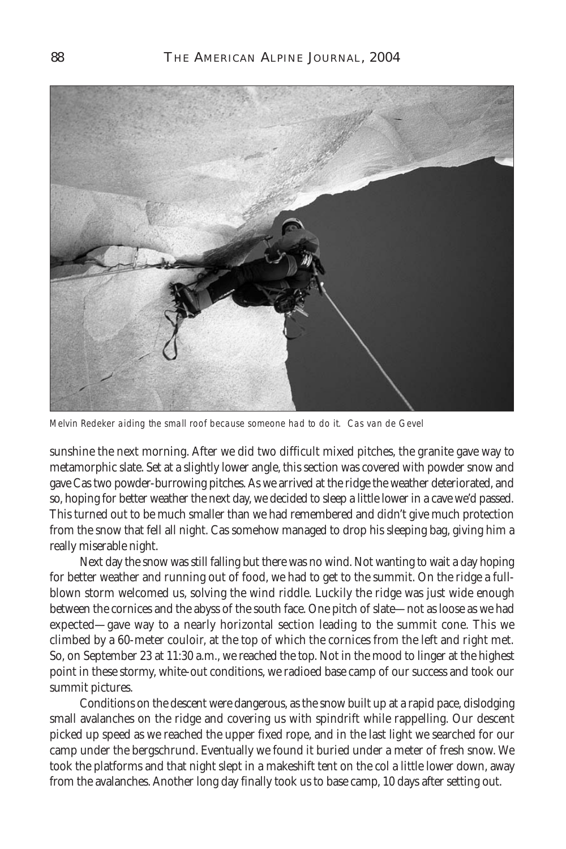

Melvin Redeker aiding the small roof because someone had to do it. *Cas van de Gevel*

sunshine the next morning. After we did two difficult mixed pitches, the granite gave way to metamorphic slate. Set at a slightly lower angle, this section was covered with powder snow and gave Cas two powder-burrowing pitches. As we arrived at the ridge the weather deteriorated, and so, hoping for better weather the next day, we decided to sleep a little lower in a cave we'd passed. This turned out to be much smaller than we had remembered and didn't give much protection from the snow that fell all night. Cas somehow managed to drop his sleeping bag, giving him a really miserable night.

Next day the snow was still falling but there was no wind. Not wanting to wait a day hoping for better weather and running out of food, we had to get to the summit. On the ridge a fullblown storm welcomed us, solving the wind riddle. Luckily the ridge was just wide enough between the cornices and the abyss of the south face. One pitch of slate—not as loose as we had expected—gave way to a nearly horizontal section leading to the summit cone. This we climbed by a 60-meter couloir, at the top of which the cornices from the left and right met. So, on September 23 at 11:30 a.m., we reached the top. Not in the mood to linger at the highest point in these stormy, white-out conditions, we radioed base camp of our success and took our summit pictures.

Conditions on the descent were dangerous, as the snow built up at a rapid pace, dislodging small avalanches on the ridge and covering us with spindrift while rappelling. Our descent picked up speed as we reached the upper fixed rope, and in the last light we searched for our camp under the bergschrund. Eventually we found it buried under a meter of fresh snow. We took the platforms and that night slept in a makeshift tent on the col a little lower down, away from the avalanches. Another long day finally took us to base camp, 10 days after setting out.